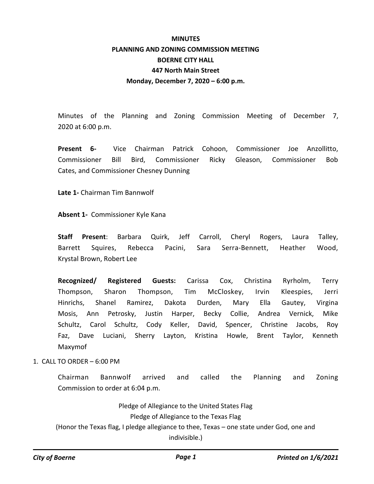# **MINUTES PLANNING AND ZONING COMMISSION MEETING BOERNE CITY HALL 447 North Main Street Monday, December 7, 2020 – 6:00 p.m.**

Minutes of the Planning and Zoning Commission Meeting of December 7, 2020 at 6:00 p.m.

**Present 6-** Vice Chairman Patrick Cohoon, Commissioner Joe Anzollitto, Commissioner Bill Bird, Commissioner Ricky Gleason, Commissioner Bob Cates, and Commissioner Chesney Dunning

**Late 1-** Chairman Tim Bannwolf

**Absent 1-** Commissioner Kyle Kana

**Staff Present**: Barbara Quirk, Jeff Carroll, Cheryl Rogers, Laura Talley, Barrett Squires, Rebecca Pacini, Sara Serra-Bennett, Heather Wood, Krystal Brown, Robert Lee

**Recognized/ Registered Guests:** Carissa Cox, Christina Ryrholm, Terry Thompson, Sharon Thompson, Tim McCloskey, Irvin Kleespies, Jerri Hinrichs, Shanel Ramirez, Dakota Durden, Mary Ella Gautey, Virgina Mosis, Ann Petrosky, Justin Harper, Becky Collie, Andrea Vernick, Mike Schultz, Carol Schultz, Cody Keller, David, Spencer, Christine Jacobs, Roy Faz, Dave Luciani, Sherry Layton, Kristina Howle, Brent Taylor, Kenneth Maxymof

1. CALL TO ORDER – 6:00 PM

Chairman Bannwolf arrived and called the Planning and Zoning Commission to order at 6:04 p.m.

Pledge of Allegiance to the United States Flag Pledge of Allegiance to the Texas Flag (Honor the Texas flag, I pledge allegiance to thee, Texas – one state under God, one and indivisible.)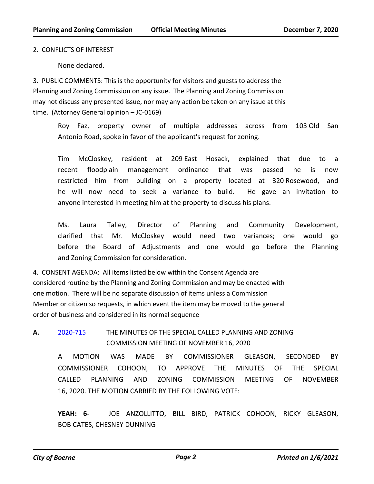### 2. CONFLICTS OF INTEREST

None declared.

3. PUBLIC COMMENTS: This is the opportunity for visitors and guests to address the Planning and Zoning Commission on any issue. The Planning and Zoning Commission may not discuss any presented issue, nor may any action be taken on any issue at this time. (Attorney General opinion – JC-0169)

Roy Faz, property owner of multiple addresses across from 103 Old San Antonio Road, spoke in favor of the applicant's request for zoning.

Tim McCloskey, resident at 209 East Hosack, explained that due to a recent floodplain management ordinance that was passed he is now restricted him from building on a property located at 320 Rosewood, and he will now need to seek a variance to build. He gave an invitation to anyone interested in meeting him at the property to discuss his plans.

Ms. Laura Talley, Director of Planning and Community Development, clarified that Mr. McCloskey would need two variances; one would go before the Board of Adjustments and one would go before the Planning and Zoning Commission for consideration.

4. CONSENT AGENDA: All items listed below within the Consent Agenda are considered routine by the Planning and Zoning Commission and may be enacted with one motion. There will be no separate discussion of items unless a Commission Member or citizen so requests, in which event the item may be moved to the general order of business and considered in its normal sequence

**A.** [2020-715](http://boerne.legistar.com/gateway.aspx?m=l&id=/matter.aspx?key=5630) THE MINUTES OF THE SPECIAL CALLED PLANNING AND ZONING COMMISSION MEETING OF NOVEMBER 16, 2020

A MOTION WAS MADE BY COMMISSIONER GLEASON, SECONDED BY COMMISSIONER COHOON, TO APPROVE THE MINUTES OF THE SPECIAL CALLED PLANNING AND ZONING COMMISSION MEETING OF NOVEMBER 16, 2020. THE MOTION CARRIED BY THE FOLLOWING VOTE:

**YEAH: 6-** JOE ANZOLLITTO, BILL BIRD, PATRICK COHOON, RICKY GLEASON, BOB CATES, CHESNEY DUNNING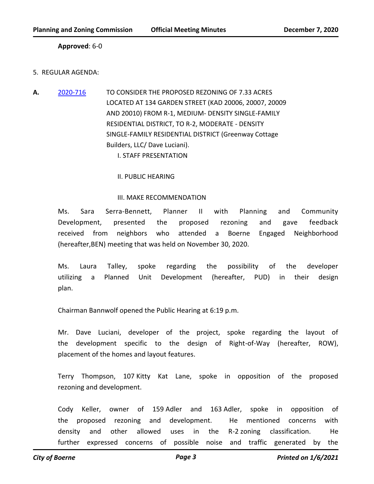## **Approved**: 6-0

### 5. REGULAR AGENDA:

**A.** [2020-716](http://boerne.legistar.com/gateway.aspx?m=l&id=/matter.aspx?key=5631) TO CONSIDER THE PROPOSED REZONING OF 7.33 ACRES LOCATED AT 134 GARDEN STREET (KAD 20006, 20007, 20009 AND 20010) FROM R-1, MEDIUM- DENSITY SINGLE-FAMILY RESIDENTIAL DISTRICT, TO R-2, MODERATE - DENSITY SINGLE-FAMILY RESIDENTIAL DISTRICT (Greenway Cottage Builders, LLC/ Dave Luciani).

I. STAFF PRESENTATION

#### II. PUBLIC HEARING

#### III. MAKE RECOMMENDATION

Ms. Sara Serra-Bennett, Planner II with Planning and Community Development, presented the proposed rezoning and gave feedback received from neighbors who attended a Boerne Engaged Neighborhood (hereafter,BEN) meeting that was held on November 30, 2020.

Ms. Laura Talley, spoke regarding the possibility of the developer utilizing a Planned Unit Development (hereafter, PUD) in their design plan.

Chairman Bannwolf opened the Public Hearing at 6:19 p.m.

Mr. Dave Luciani, developer of the project, spoke regarding the layout of the development specific to the design of Right-of-Way (hereafter, ROW), placement of the homes and layout features.

Terry Thompson, 107 Kitty Kat Lane, spoke in opposition of the proposed rezoning and development.

Cody Keller, owner of 159 Adler and 163 Adler, spoke in opposition of the proposed rezoning and development. He mentioned concerns with density and other allowed uses in the R-2 zoning classification. He further expressed concerns of possible noise and traffic generated by the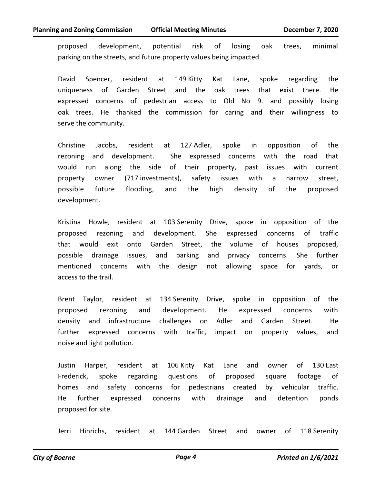proposed development, potential risk of losing oak trees, minimal parking on the streets, and future property values being impacted.

David Spencer, resident at 149 Kitty Kat Lane, spoke regarding the uniqueness of Garden Street and the oak trees that exist there. He expressed concerns of pedestrian access to Old No 9. and possibly losing oak trees. He thanked the commission for caring and their willingness to serve the community.

Christine Jacobs, resident at 127 Adler, spoke in opposition of the rezoning and development. She expressed concerns with the road that would run along the side of their property, past issues with current property owner (717 investments), safety issues with a narrow street, possible future flooding, and the high density of the proposed development.

Kristina Howle, resident at 103 Serenity Drive, spoke in opposition of the proposed rezoning and development. She expressed concerns of traffic that would exit onto Garden Street, the volume of houses proposed, possible drainage issues, and parking and privacy concerns. She further mentioned concerns with the design not allowing space for yards, or access to the trail.

Brent Taylor, resident at 134 Serenity Drive, spoke in opposition of the proposed rezoning and development. He expressed concerns with density and infrastructure challenges on Adler and Garden Street. He further expressed concerns with traffic, impact on property values, and noise and light pollution.

Justin Harper, resident at 106 Kitty Kat Lane and owner of 130 East Frederick, spoke regarding questions of proposed square footage of homes and safety concerns for pedestrians created by vehicular traffic. He further expressed concerns with drainage and detention ponds proposed for site.

Jerri Hinrichs, resident at 144 Garden Street and owner of 118 Serenity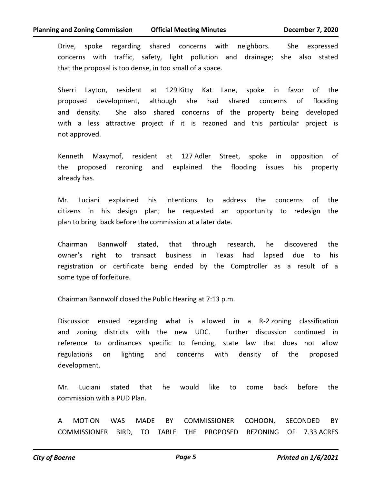Drive, spoke regarding shared concerns with neighbors. She expressed concerns with traffic, safety, light pollution and drainage; she also stated that the proposal is too dense, in too small of a space.

Sherri Layton, resident at 129 Kitty Kat Lane, spoke in favor of the proposed development, although she had shared concerns of flooding and density. She also shared concerns of the property being developed with a less attractive project if it is rezoned and this particular project is not approved.

Kenneth Maxymof, resident at 127 Adler Street, spoke in opposition of the proposed rezoning and explained the flooding issues his property already has.

Mr. Luciani explained his intentions to address the concerns of the citizens in his design plan; he requested an opportunity to redesign the plan to bring back before the commission at a later date.

Chairman Bannwolf stated, that through research, he discovered the owner's right to transact business in Texas had lapsed due to his registration or certificate being ended by the Comptroller as a result of a some type of forfeiture.

Chairman Bannwolf closed the Public Hearing at 7:13 p.m.

Discussion ensued regarding what is allowed in a R-2 zoning classification and zoning districts with the new UDC. Further discussion continued in reference to ordinances specific to fencing, state law that does not allow regulations on lighting and concerns with density of the proposed development.

Mr. Luciani stated that he would like to come back before the commission with a PUD Plan.

A MOTION WAS MADE BY COMMISSIONER COHOON, SECONDED BY COMMISSIONER BIRD, TO TABLE THE PROPOSED REZONING OF 7.33 ACRES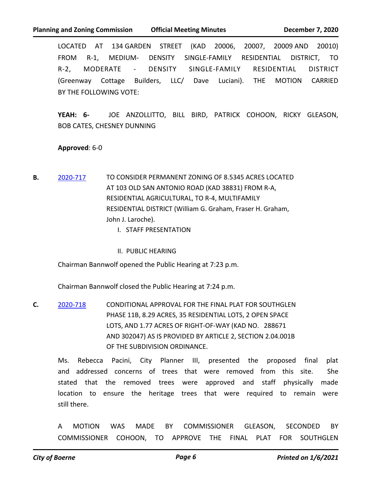LOCATED AT 134 GARDEN STREET (KAD 20006, 20007, 20009 AND 20010) FROM R-1, MEDIUM- DENSITY SINGLE-FAMILY RESIDENTIAL DISTRICT, TO R-2, MODERATE - DENSITY SINGLE-FAMILY RESIDENTIAL DISTRICT (Greenway Cottage Builders, LLC/ Dave Luciani). THE MOTION CARRIED BY THE FOLLOWING VOTE:

**YEAH: 6-** JOE ANZOLLITTO, BILL BIRD, PATRICK COHOON, RICKY GLEASON, BOB CATES, CHESNEY DUNNING

## **Approved**: 6-0

- **B.** [2020-717](http://boerne.legistar.com/gateway.aspx?m=l&id=/matter.aspx?key=5632) TO CONSIDER PERMANENT ZONING OF 8.5345 ACRES LOCATED AT 103 OLD SAN ANTONIO ROAD (KAD 38831) FROM R-A, RESIDENTIAL AGRICULTURAL, TO R-4, MULTIFAMILY RESIDENTIAL DISTRICT (William G. Graham, Fraser H. Graham, John J. Laroche).
	- I. STAFF PRESENTATION
	- II. PUBLIC HEARING

Chairman Bannwolf opened the Public Hearing at 7:23 p.m.

Chairman Bannwolf closed the Public Hearing at 7:24 p.m.

**C.** [2020-718](http://boerne.legistar.com/gateway.aspx?m=l&id=/matter.aspx?key=5633) CONDITIONAL APPROVAL FOR THE FINAL PLAT FOR SOUTHGLEN PHASE 11B, 8.29 ACRES, 35 RESIDENTIAL LOTS, 2 OPEN SPACE LOTS, AND 1.77 ACRES OF RIGHT-OF-WAY (KAD NO. 288671 AND 302047) AS IS PROVIDED BY ARTICLE 2, SECTION 2.04.001B OF THE SUBDIVISION ORDINANCE.

Ms. Rebecca Pacini, City Planner III, presented the proposed final plat and addressed concerns of trees that were removed from this site. She stated that the removed trees were approved and staff physically made location to ensure the heritage trees that were required to remain were still there.

A MOTION WAS MADE BY COMMISSIONER GLEASON, SECONDED BY COMMISSIONER COHOON, TO APPROVE THE FINAL PLAT FOR SOUTHGLEN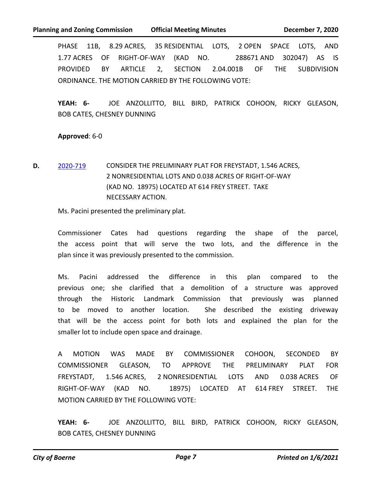PHASE 11B, 8.29 ACRES, 35 RESIDENTIAL LOTS, 2 OPEN SPACE LOTS, AND 1.77 ACRES OF RIGHT-OF-WAY (KAD NO. 288671 AND 302047) AS IS PROVIDED BY ARTICLE 2, SECTION 2.04.001B OF THE SUBDIVISION ORDINANCE. THE MOTION CARRIED BY THE FOLLOWING VOTE:

**YEAH: 6-** JOE ANZOLLITTO, BILL BIRD, PATRICK COHOON, RICKY GLEASON, BOB CATES, CHESNEY DUNNING

## **Approved**: 6-0

**D.** [2020-719](http://boerne.legistar.com/gateway.aspx?m=l&id=/matter.aspx?key=5634) CONSIDER THE PRELIMINARY PLAT FOR FREYSTADT, 1.546 ACRES, 2 NONRESIDENTIAL LOTS AND 0.038 ACRES OF RIGHT-OF-WAY (KAD NO. 18975) LOCATED AT 614 FREY STREET. TAKE NECESSARY ACTION.

Ms. Pacini presented the preliminary plat.

Commissioner Cates had questions regarding the shape of the parcel, the access point that will serve the two lots, and the difference in the plan since it was previously presented to the commission.

Ms. Pacini addressed the difference in this plan compared to the previous one; she clarified that a demolition of a structure was approved through the Historic Landmark Commission that previously was planned to be moved to another location. She described the existing driveway that will be the access point for both lots and explained the plan for the smaller lot to include open space and drainage.

A MOTION WAS MADE BY COMMISSIONER COHOON, SECONDED BY COMMISSIONER GLEASON, TO APPROVE THE PRELIMINARY PLAT FOR FREYSTADT, 1.546 ACRES, 2 NONRESIDENTIAL LOTS AND 0.038 ACRES OF RIGHT-OF-WAY (KAD NO. 18975) LOCATED AT 614 FREY STREET. THE MOTION CARRIED BY THE FOLLOWING VOTE:

**YEAH: 6-** JOE ANZOLLITTO, BILL BIRD, PATRICK COHOON, RICKY GLEASON, BOB CATES, CHESNEY DUNNING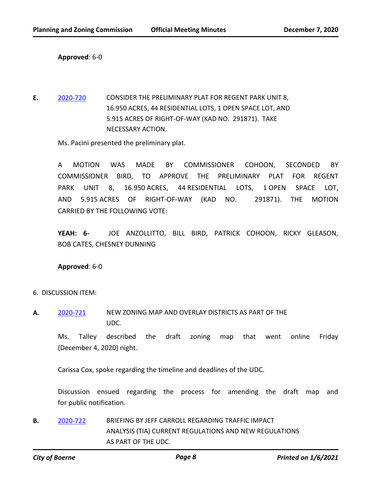**Approved**: 6-0

**E.** [2020-720](http://boerne.legistar.com/gateway.aspx?m=l&id=/matter.aspx?key=5635) CONSIDER THE PRELIMINARY PLAT FOR REGENT PARK UNIT 8, 16.950 ACRES, 44 RESIDENTIAL LOTS, 1 OPEN SPACE LOT, AND 5.915 ACRES OF RIGHT-OF-WAY (KAD NO. 291871). TAKE NECESSARY ACTION.

Ms. Pacini presented the preliminary plat.

A MOTION WAS MADE BY COMMISSIONER COHOON, SECONDED BY COMMISSIONER BIRD, TO APPROVE THE PRELIMINARY PLAT FOR REGENT PARK UNIT 8, 16.950 ACRES, 44 RESIDENTIAL LOTS, 1 OPEN SPACE LOT, AND 5.915 ACRES OF RIGHT-OF-WAY (KAD NO. 291871). THE MOTION CARRIED BY THE FOLLOWING VOTE:

**YEAH: 6-** JOE ANZOLLITTO, BILL BIRD, PATRICK COHOON, RICKY GLEASON, BOB CATES, CHESNEY DUNNING

**Approved**: 6-0

- 6. DISCUSSION ITEM:
- **A.** [2020-721](http://boerne.legistar.com/gateway.aspx?m=l&id=/matter.aspx?key=5636) NEW ZONING MAP AND OVERLAY DISTRICTS AS PART OF THE UDC.

Ms. Talley described the draft zoning map that went online Friday (December 4, 2020) night.

Carissa Cox, spoke regarding the timeline and deadlines of the UDC.

Discussion ensued regarding the process for amending the draft map and for public notification.

**B.** [2020-722](http://boerne.legistar.com/gateway.aspx?m=l&id=/matter.aspx?key=5637) BRIEFING BY JEFF CARROLL REGARDING TRAFFIC IMPACT ANALYSIS (TIA) CURRENT REGULATIONS AND NEW REGULATIONS AS PART OF THE UDC.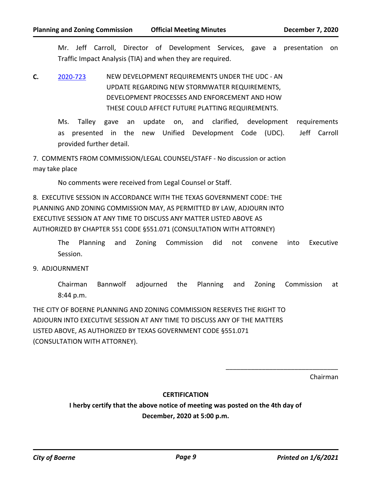Mr. Jeff Carroll, Director of Development Services, gave a presentation on Traffic Impact Analysis (TIA) and when they are required.

**C.** [2020-723](http://boerne.legistar.com/gateway.aspx?m=l&id=/matter.aspx?key=5638) NEW DEVELOPMENT REQUIREMENTS UNDER THE UDC - AN UPDATE REGARDING NEW STORMWATER REQUIREMENTS, DEVELOPMENT PROCESSES AND ENFORCEMENT AND HOW THESE COULD AFFECT FUTURE PLATTING REQUIREMENTS.

Ms. Talley gave an update on, and clarified, development requirements as presented in the new Unified Development Code (UDC). Jeff Carroll provided further detail.

7. COMMENTS FROM COMMISSION/LEGAL COUNSEL/STAFF - No discussion or action may take place

No comments were received from Legal Counsel or Staff.

8. EXECUTIVE SESSION IN ACCORDANCE WITH THE TEXAS GOVERNMENT CODE: THE PLANNING AND ZONING COMMISSION MAY, AS PERMITTED BY LAW, ADJOURN INTO EXECUTIVE SESSION AT ANY TIME TO DISCUSS ANY MATTER LISTED ABOVE AS AUTHORIZED BY CHAPTER 551 CODE §551.071 (CONSULTATION WITH ATTORNEY)

The Planning and Zoning Commission did not convene into Executive Session.

9. ADJOURNMENT

Chairman Bannwolf adjourned the Planning and Zoning Commission at 8:44 p.m.

THE CITY OF BOERNE PLANNING AND ZONING COMMISSION RESERVES THE RIGHT TO ADJOURN INTO EXECUTIVE SESSION AT ANY TIME TO DISCUSS ANY OF THE MATTERS LISTED ABOVE, AS AUTHORIZED BY TEXAS GOVERNMENT CODE §551.071 (CONSULTATION WITH ATTORNEY).

Chairman

## **CERTIFICATION**

**I herby certify that the above notice of meeting was posted on the 4th day of December, 2020 at 5:00 p.m.**

\_\_\_\_\_\_\_\_\_\_\_\_\_\_\_\_\_\_\_\_\_\_\_\_\_\_\_\_\_\_\_